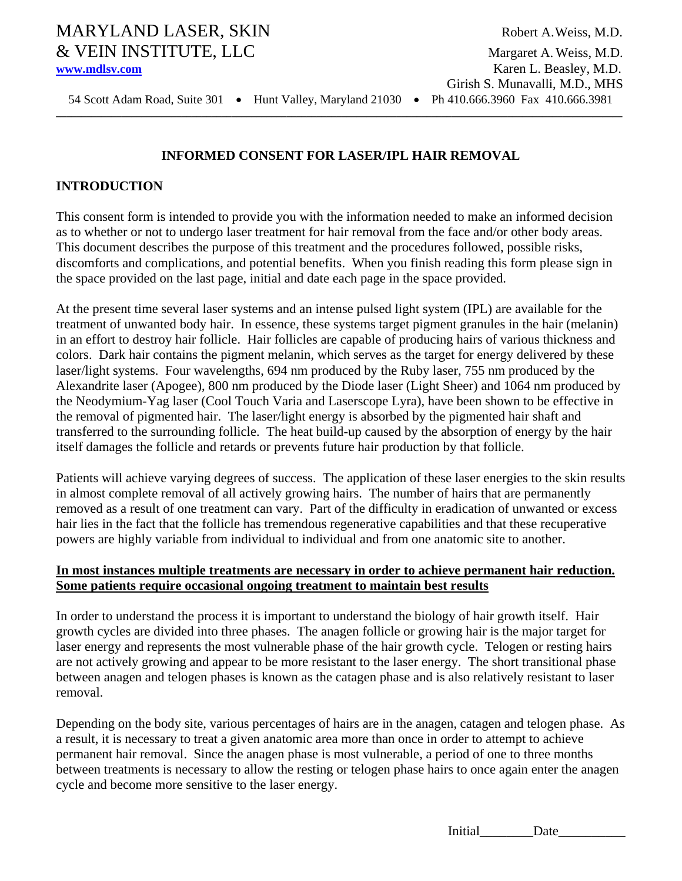# MARYLAND LASER, SKIN Robert A. Weiss, M.D. & VEIN INSTITUTE, LLC Margaret A. Weiss, M.D.

54 Scott Adam Road, Suite 301 • Hunt Valley, Maryland 21030 • Ph 410.666.3960 Fax 410.666.3981

# **INFORMED CONSENT FOR LASER/IPL HAIR REMOVAL**

## **INTRODUCTION**

This consent form is intended to provide you with the information needed to make an informed decision as to whether or not to undergo laser treatment for hair removal from the face and/or other body areas. This document describes the purpose of this treatment and the procedures followed, possible risks, discomforts and complications, and potential benefits. When you finish reading this form please sign in the space provided on the last page, initial and date each page in the space provided.

At the present time several laser systems and an intense pulsed light system (IPL) are available for the treatment of unwanted body hair. In essence, these systems target pigment granules in the hair (melanin) in an effort to destroy hair follicle. Hair follicles are capable of producing hairs of various thickness and colors. Dark hair contains the pigment melanin, which serves as the target for energy delivered by these laser/light systems. Four wavelengths, 694 nm produced by the Ruby laser, 755 nm produced by the Alexandrite laser (Apogee), 800 nm produced by the Diode laser (Light Sheer) and 1064 nm produced by the Neodymium-Yag laser (Cool Touch Varia and Laserscope Lyra), have been shown to be effective in the removal of pigmented hair. The laser/light energy is absorbed by the pigmented hair shaft and transferred to the surrounding follicle. The heat build-up caused by the absorption of energy by the hair itself damages the follicle and retards or prevents future hair production by that follicle.

Patients will achieve varying degrees of success. The application of these laser energies to the skin results in almost complete removal of all actively growing hairs. The number of hairs that are permanently removed as a result of one treatment can vary. Part of the difficulty in eradication of unwanted or excess hair lies in the fact that the follicle has tremendous regenerative capabilities and that these recuperative powers are highly variable from individual to individual and from one anatomic site to another.

#### **In most instances multiple treatments are necessary in order to achieve permanent hair reduction. Some patients require occasional ongoing treatment to maintain best results**

In order to understand the process it is important to understand the biology of hair growth itself. Hair growth cycles are divided into three phases. The anagen follicle or growing hair is the major target for laser energy and represents the most vulnerable phase of the hair growth cycle. Telogen or resting hairs are not actively growing and appear to be more resistant to the laser energy. The short transitional phase between anagen and telogen phases is known as the catagen phase and is also relatively resistant to laser removal.

Depending on the body site, various percentages of hairs are in the anagen, catagen and telogen phase. As a result, it is necessary to treat a given anatomic area more than once in order to attempt to achieve permanent hair removal. Since the anagen phase is most vulnerable, a period of one to three months between treatments is necessary to allow the resting or telogen phase hairs to once again enter the anagen cycle and become more sensitive to the laser energy.

Initial Date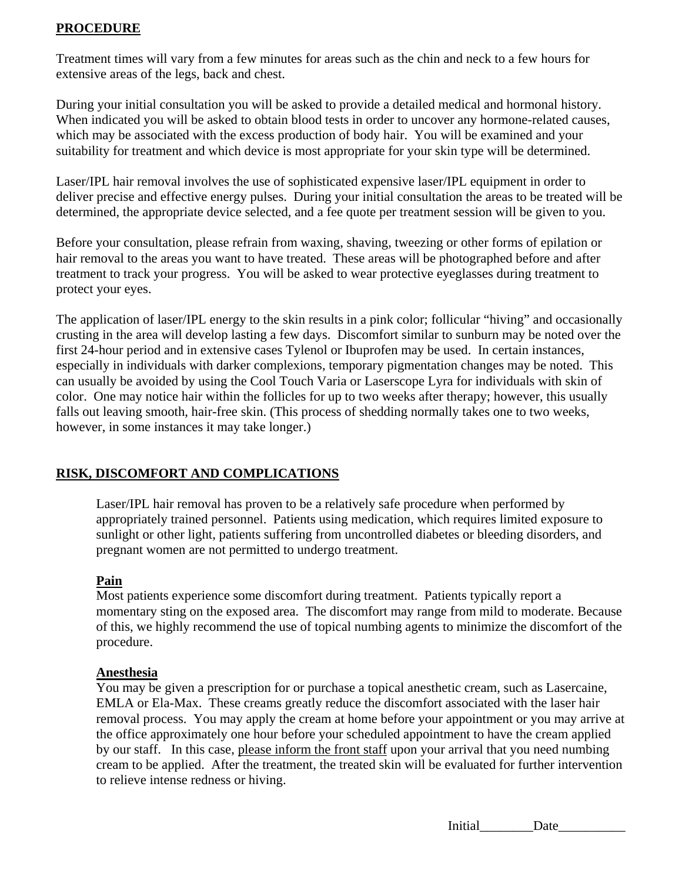## **PROCEDURE**

Treatment times will vary from a few minutes for areas such as the chin and neck to a few hours for extensive areas of the legs, back and chest.

During your initial consultation you will be asked to provide a detailed medical and hormonal history. When indicated you will be asked to obtain blood tests in order to uncover any hormone-related causes, which may be associated with the excess production of body hair. You will be examined and your suitability for treatment and which device is most appropriate for your skin type will be determined.

Laser/IPL hair removal involves the use of sophisticated expensive laser/IPL equipment in order to deliver precise and effective energy pulses. During your initial consultation the areas to be treated will be determined, the appropriate device selected, and a fee quote per treatment session will be given to you.

Before your consultation, please refrain from waxing, shaving, tweezing or other forms of epilation or hair removal to the areas you want to have treated. These areas will be photographed before and after treatment to track your progress. You will be asked to wear protective eyeglasses during treatment to protect your eyes.

The application of laser/IPL energy to the skin results in a pink color; follicular "hiving" and occasionally crusting in the area will develop lasting a few days. Discomfort similar to sunburn may be noted over the first 24-hour period and in extensive cases Tylenol or Ibuprofen may be used. In certain instances, especially in individuals with darker complexions, temporary pigmentation changes may be noted. This can usually be avoided by using the Cool Touch Varia or Laserscope Lyra for individuals with skin of color. One may notice hair within the follicles for up to two weeks after therapy; however, this usually falls out leaving smooth, hair-free skin. (This process of shedding normally takes one to two weeks, however, in some instances it may take longer.)

#### **RISK, DISCOMFORT AND COMPLICATIONS**

Laser/IPL hair removal has proven to be a relatively safe procedure when performed by appropriately trained personnel. Patients using medication, which requires limited exposure to sunlight or other light, patients suffering from uncontrolled diabetes or bleeding disorders, and pregnant women are not permitted to undergo treatment.

#### **Pain**

Most patients experience some discomfort during treatment. Patients typically report a momentary sting on the exposed area. The discomfort may range from mild to moderate. Because of this, we highly recommend the use of topical numbing agents to minimize the discomfort of the procedure.

## **Anesthesia**

You may be given a prescription for or purchase a topical anesthetic cream, such as Lasercaine, EMLA or Ela-Max. These creams greatly reduce the discomfort associated with the laser hair removal process. You may apply the cream at home before your appointment or you may arrive at the office approximately one hour before your scheduled appointment to have the cream applied by our staff. In this case, please inform the front staff upon your arrival that you need numbing cream to be applied. After the treatment, the treated skin will be evaluated for further intervention to relieve intense redness or hiving.

Initial Date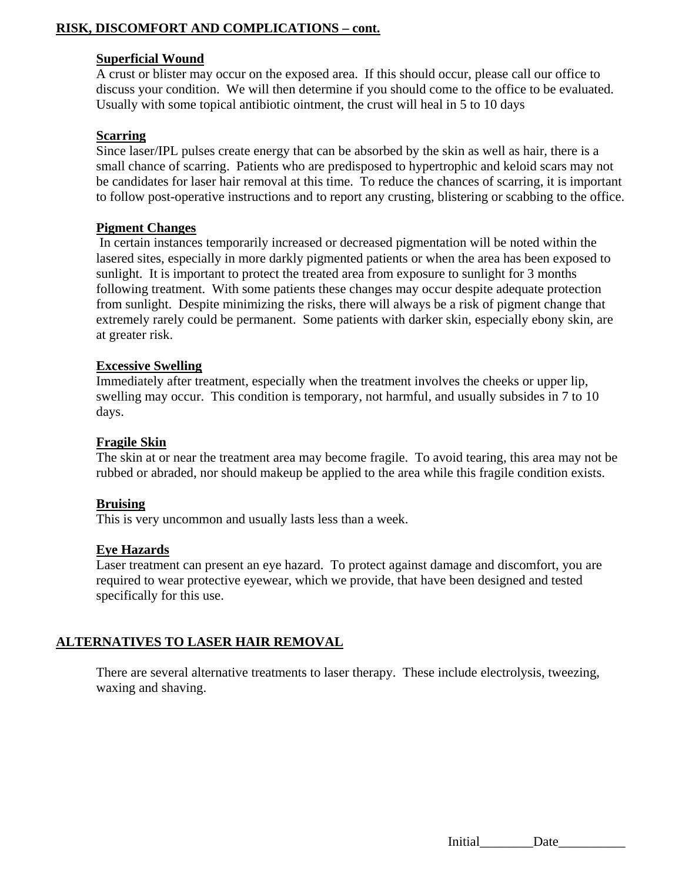# **RISK, DISCOMFORT AND COMPLICATIONS – cont.**

#### **Superficial Wound**

A crust or blister may occur on the exposed area. If this should occur, please call our office to discuss your condition. We will then determine if you should come to the office to be evaluated. Usually with some topical antibiotic ointment, the crust will heal in 5 to 10 days

### **Scarring**

Since laser/IPL pulses create energy that can be absorbed by the skin as well as hair, there is a small chance of scarring. Patients who are predisposed to hypertrophic and keloid scars may not be candidates for laser hair removal at this time. To reduce the chances of scarring, it is important to follow post-operative instructions and to report any crusting, blistering or scabbing to the office.

### **Pigment Changes**

 In certain instances temporarily increased or decreased pigmentation will be noted within the lasered sites, especially in more darkly pigmented patients or when the area has been exposed to sunlight. It is important to protect the treated area from exposure to sunlight for 3 months following treatment. With some patients these changes may occur despite adequate protection from sunlight. Despite minimizing the risks, there will always be a risk of pigment change that extremely rarely could be permanent. Some patients with darker skin, especially ebony skin, are at greater risk.

### **Excessive Swelling**

Immediately after treatment, especially when the treatment involves the cheeks or upper lip, swelling may occur. This condition is temporary, not harmful, and usually subsides in 7 to 10 days.

#### **Fragile Skin**

The skin at or near the treatment area may become fragile. To avoid tearing, this area may not be rubbed or abraded, nor should makeup be applied to the area while this fragile condition exists.

#### **Bruising**

This is very uncommon and usually lasts less than a week.

#### **Eye Hazards**

Laser treatment can present an eye hazard. To protect against damage and discomfort, you are required to wear protective eyewear, which we provide, that have been designed and tested specifically for this use.

# **ALTERNATIVES TO LASER HAIR REMOVAL**

There are several alternative treatments to laser therapy. These include electrolysis, tweezing, waxing and shaving.